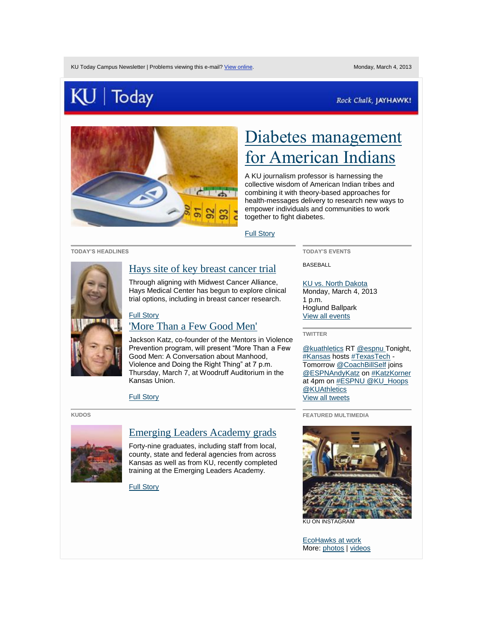# $\vert$  Today

### Rock Chalk, JAYHAWK!



# [Diabetes management](http://today.us2.list-manage1.com/track/click?u=be359a42d05a0b6055c05aba4&id=25570aa677&e=4a0168421a)  [for American Indians](http://today.us2.list-manage1.com/track/click?u=be359a42d05a0b6055c05aba4&id=25570aa677&e=4a0168421a)

A KU journalism professor is harnessing the collective wisdom of American Indian tribes and combining it with theory-based approaches for health-messages delivery to research new ways to empower individuals and communities to work together to fight diabetes.

[Full Story](http://today.us2.list-manage2.com/track/click?u=be359a42d05a0b6055c05aba4&id=c648f735b0&e=4a0168421a) 

#### **TODAY'S HEADLINES**



# [Hays site of key breast cancer trial](http://today.us2.list-manage.com/track/click?u=be359a42d05a0b6055c05aba4&id=f1e8b0a7a2&e=4a0168421a)

Through aligning with Midwest Cancer Alliance, Hays Medical Center has begun to explore clinical trial options, including in breast cancer research.

#### [Full Story](http://today.us2.list-manage.com/track/click?u=be359a42d05a0b6055c05aba4&id=53970bb21b&e=4a0168421a)  ['More Than a Few Good Men'](http://today.us2.list-manage.com/track/click?u=be359a42d05a0b6055c05aba4&id=a723a84098&e=4a0168421a)

Jackson Katz, co-founder of the Mentors in Violence Prevention program, will present "More Than a Few Good Men: A Conversation about Manhood, Violence and Doing the Right Thing" at 7 p.m. Thursday, March 7, at Woodruff Auditorium in the Kansas Union.

[Full Story](http://today.us2.list-manage2.com/track/click?u=be359a42d05a0b6055c05aba4&id=a0c312c616&e=4a0168421a) 

#### **KUDOS**



## [Emerging Leaders Academy grads](http://today.us2.list-manage1.com/track/click?u=be359a42d05a0b6055c05aba4&id=1538614450&e=4a0168421a)

Forty-nine graduates, including staff from local, county, state and federal agencies from across Kansas as well as from KU, recently completed training at the Emerging Leaders Academy.

[Full Story](http://today.us2.list-manage.com/track/click?u=be359a42d05a0b6055c05aba4&id=9911a840ba&e=4a0168421a) 

**TODAY'S EVENTS**

BASEBALL

#### [KU vs. North Dakota](http://today.us2.list-manage.com/track/click?u=be359a42d05a0b6055c05aba4&id=f11c8ca074&e=4a0168421a)

Monday, March 4, 2013 1 p.m. Hoglund Ballpark [View all events](http://today.us2.list-manage.com/track/click?u=be359a42d05a0b6055c05aba4&id=e311f150e1&e=4a0168421a)

**TWITTER**

[@kuathletics](http://today.us2.list-manage1.com/track/click?u=be359a42d05a0b6055c05aba4&id=3237d68101&e=4a0168421a) R[T @espnu T](http://today.us2.list-manage.com/track/click?u=be359a42d05a0b6055c05aba4&id=39c36db4bd&e=4a0168421a)onight, [#Kansas](http://today.us2.list-manage1.com/track/click?u=be359a42d05a0b6055c05aba4&id=904fec1fda&e=4a0168421a) host[s #TexasTech](http://today.us2.list-manage.com/track/click?u=be359a42d05a0b6055c05aba4&id=785fbfc84e&e=4a0168421a) - Tomorrow [@CoachBillSelf](http://today.us2.list-manage.com/track/click?u=be359a42d05a0b6055c05aba4&id=bc116f833b&e=4a0168421a) joins [@ESPNAndyKatz](http://today.us2.list-manage.com/track/click?u=be359a42d05a0b6055c05aba4&id=c242e9de27&e=4a0168421a) on [#KatzKorner](http://today.us2.list-manage.com/track/click?u=be359a42d05a0b6055c05aba4&id=e2aa0460c9&e=4a0168421a) at 4pm o[n #ESPNU @KU\\_Hoops](http://today.us2.list-manage.com/track/click?u=be359a42d05a0b6055c05aba4&id=8d055a2891&e=4a0168421a) [@KUAthletics](http://today.us2.list-manage.com/track/click?u=be359a42d05a0b6055c05aba4&id=056bad1cf3&e=4a0168421a) [View all tweets](http://today.us2.list-manage2.com/track/click?u=be359a42d05a0b6055c05aba4&id=157fe7e6f7&e=4a0168421a) 

**FEATURED MULTIMEDIA**



[EcoHawks at work](http://today.us2.list-manage1.com/track/click?u=be359a42d05a0b6055c05aba4&id=30bb4e6f9f&e=4a0168421a)  More: [photos](http://today.us2.list-manage.com/track/click?u=be359a42d05a0b6055c05aba4&id=1cd00b8145&e=4a0168421a) [| videos](http://today.us2.list-manage1.com/track/click?u=be359a42d05a0b6055c05aba4&id=e8fa0f468b&e=4a0168421a)